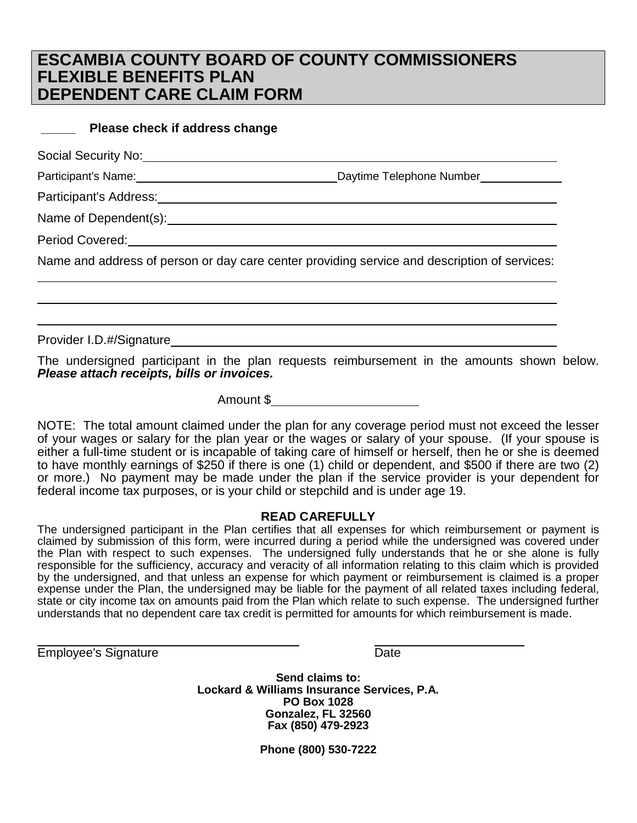## **ESCAMBIA COUNTY BOARD OF COUNTY COMMISSIONERS FLEXIBLE BENEFITS PLAN DEPENDENT CARE CLAIM FORM**

## **\_\_\_\_\_ Please check if address change**

Social Security No:

Participant's Name: Daytime Telephone Number

Participant's Address:

Name of Dependent(s):  $\blacksquare$ 

Period Covered:

Name and address of person or day care center providing service and description of services:

Provider I.D.#/Signature

The undersigned participant in the plan requests reimbursement in the amounts shown below. *Please attach receipts, bills or invoices.*

Amount \$

NOTE: The total amount claimed under the plan for any coverage period must not exceed the lesser of your wages or salary for the plan year or the wages or salary of your spouse. (If your spouse is either a full-time student or is incapable of taking care of himself or herself, then he or she is deemed to have monthly earnings of \$250 if there is one (1) child or dependent, and \$500 if there are two (2) or more.) No payment may be made under the plan if the service provider is your dependent for federal income tax purposes, or is your child or stepchild and is under age 19.

## **READ CAREFULLY**

The undersigned participant in the Plan certifies that all expenses for which reimbursement or payment is claimed by submission of this form, were incurred during a period while the undersigned was covered under the Plan with respect to such expenses. The undersigned fully understands that he or she alone is fully responsible for the sufficiency, accuracy and veracity of all information relating to this claim which is provided by the undersigned, and that unless an expense for which payment or reimbursement is claimed is a proper expense under the Plan, the undersigned may be liable for the payment of all related taxes including federal, state or city income tax on amounts paid from the Plan which relate to such expense. The undersigned further understands that no dependent care tax credit is permitted for amounts for which reimbursement is made.

**Employee's Signature Date** 

**Send claims to: Lockard & Williams Insurance Services, P.A. PO Box 1028 Gonzalez, FL 32560 Fax (850) 479-2923**

**Phone (800) 530-7222**